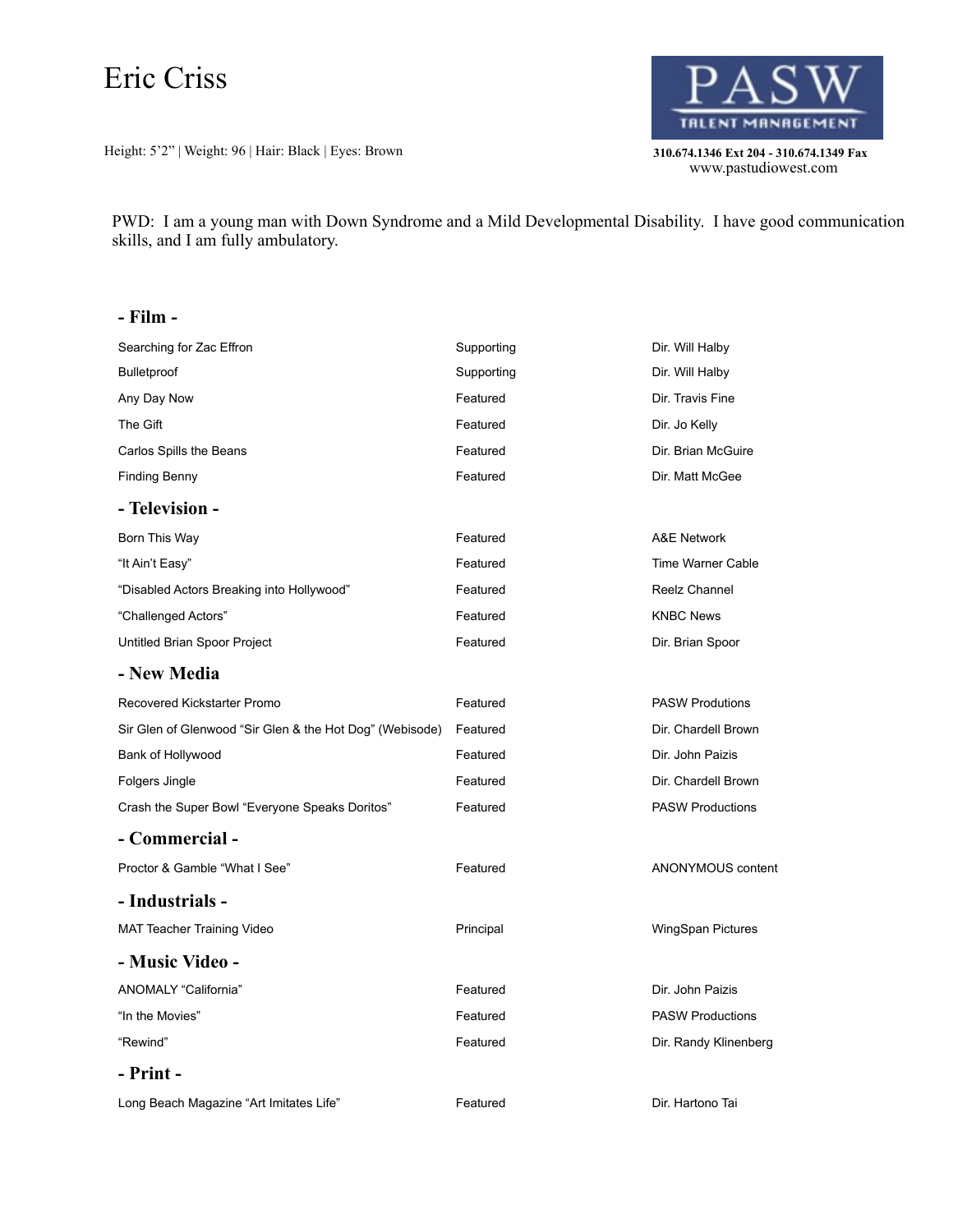# Eric Criss

Height: 5'2" | Weight: 96 | Hair: Black | Eyes: Brown **310.674.1346 Ext 204 - 310.674.1349 Fax** 



310.674.1346 Ext 204 - 310.674.1349 Fax<br>www.pastudiowest.com

PWD: I am a young man with Down Syndrome and a Mild Developmental Disability. I have good communication skills, and I am fully ambulatory.

### **- Film -**

| Searching for Zac Effron                                 | Supporting | Dir. Will Halby          |
|----------------------------------------------------------|------------|--------------------------|
| <b>Bulletproof</b>                                       | Supporting | Dir. Will Halby          |
| Any Day Now                                              | Featured   | Dir. Travis Fine         |
| The Gift                                                 | Featured   | Dir. Jo Kelly            |
| Carlos Spills the Beans                                  | Featured   | Dir. Brian McGuire       |
| <b>Finding Benny</b>                                     | Featured   | Dir. Matt McGee          |
| - Television -                                           |            |                          |
| Born This Way                                            | Featured   | A&E Network              |
| "It Ain't Easy"                                          | Featured   | Time Warner Cable        |
| "Disabled Actors Breaking into Hollywood"                | Featured   | Reelz Channel            |
| "Challenged Actors"                                      | Featured   | <b>KNBC News</b>         |
| Untitled Brian Spoor Project                             | Featured   | Dir. Brian Spoor         |
| - New Media                                              |            |                          |
| Recovered Kickstarter Promo                              | Featured   | <b>PASW Produtions</b>   |
| Sir Glen of Glenwood "Sir Glen & the Hot Dog" (Webisode) | Featured   | Dir. Chardell Brown      |
| Bank of Hollywood                                        | Featured   | Dir. John Paizis         |
| Folgers Jingle                                           | Featured   | Dir. Chardell Brown      |
| Crash the Super Bowl "Everyone Speaks Doritos"           | Featured   | <b>PASW Productions</b>  |
| - Commercial -                                           |            |                          |
| Proctor & Gamble "What I See"                            | Featured   | ANONYMOUS content        |
| - Industrials -                                          |            |                          |
| MAT Teacher Training Video                               | Principal  | <b>WingSpan Pictures</b> |
| - Music Video -                                          |            |                          |
| ANOMALY "California"                                     | Featured   | Dir. John Paizis         |
| "In the Movies"                                          | Featured   | <b>PASW Productions</b>  |
| "Rewind"                                                 | Featured   | Dir. Randy Klinenberg    |
| - Print -                                                |            |                          |
| Long Beach Magazine "Art Imitates Life"                  | Featured   | Dir. Hartono Tai         |